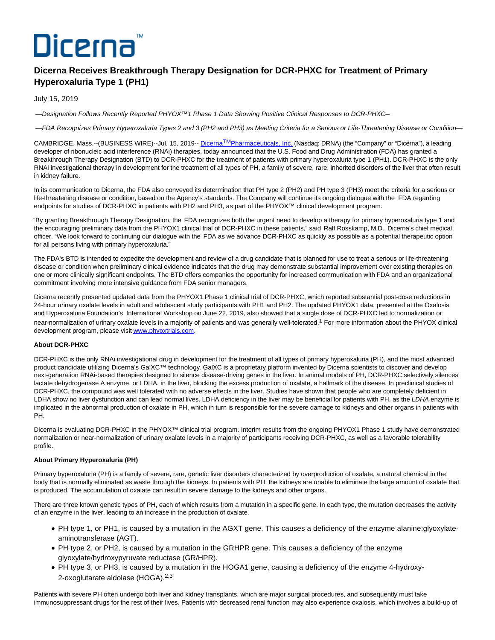# Dicerna

# **Dicerna Receives Breakthrough Therapy Designation for DCR-PHXC for Treatment of Primary Hyperoxaluria Type 1 (PH1)**

## July 15, 2019

—Designation Follows Recently Reported PHYOX™1 Phase 1 Data Showing Positive Clinical Responses to DCR-PHXC—

—FDA Recognizes Primary Hyperoxaluria Types 2 and 3 (PH2 and PH3) as Meeting Criteria for a Serious or Life-Threatening Disease or Condition—

CAMBRIDGE, Mass.--(BUSINESS WIRE)--Jul. 15, 2019-- Dicerna<sup>TM</sup>[Pharmaceuticals, Inc. \(](https://cts.businesswire.com/ct/CT?id=smartlink&url=https%3A%2F%2Fdicerna.com%2F&esheet=52012649&newsitemid=20190715005117&lan=en-US&anchor=DicernaTM+Pharmaceuticals%2C+Inc.&index=1&md5=64d84b5a038414df9f237bbff60a9140)Nasdaq: DRNA) (the "Company" or "Dicerna"), a leading developer of ribonucleic acid interference (RNAi) therapies, today announced that the U.S. Food and Drug Administration (FDA) has granted a Breakthrough Therapy Designation (BTD) to DCR-PHXC for the treatment of patients with primary hyperoxaluria type 1 (PH1). DCR-PHXC is the only RNAi investigational therapy in development for the treatment of all types of PH, a family of severe, rare, inherited disorders of the liver that often result in kidney failure.

In its communication to Dicerna, the FDA also conveyed its determination that PH type 2 (PH2) and PH type 3 (PH3) meet the criteria for a serious or life-threatening disease or condition, based on the Agency's standards. The Company will continue its ongoing dialogue with the FDA regarding endpoints for studies of DCR-PHXC in patients with PH2 and PH3, as part of the PHYOX™ clinical development program.

"By granting Breakthrough Therapy Designation, the FDA recognizes both the urgent need to develop a therapy for primary hyperoxaluria type 1 and the encouraging preliminary data from the PHYOX1 clinical trial of DCR-PHXC in these patients," said Ralf Rosskamp, M.D., Dicerna's chief medical officer. "We look forward to continuing our dialogue with the FDA as we advance DCR-PHXC as quickly as possible as a potential therapeutic option for all persons living with primary hyperoxaluria."

The FDA's BTD is intended to expedite the development and review of a drug candidate that is planned for use to treat a serious or life-threatening disease or condition when preliminary clinical evidence indicates that the drug may demonstrate substantial improvement over existing therapies on one or more clinically significant endpoints. The BTD offers companies the opportunity for increased communication with FDA and an organizational commitment involving more intensive guidance from FDA senior managers.

Dicerna recently presented updated data from the PHYOX1 Phase 1 clinical trial of DCR-PHXC, which reported substantial post-dose reductions in 24-hour urinary oxalate levels in adult and adolescent study participants with PH1 and PH2. The updated PHYOX1 data, presented at the Oxalosis and Hyperoxaluria Foundation's International Workshop on June 22, 2019, also showed that a single dose of DCR-PHXC led to normalization or near-normalization of urinary oxalate levels in a majority of patients and was generally well-tolerated.<sup>1</sup> For more information about the PHYOX clinical development program, please visi[t www.phyoxtrials.com.](https://cts.businesswire.com/ct/CT?id=smartlink&url=http%3A%2F%2Fwww.phyoxtrials.com&esheet=52012649&newsitemid=20190715005117&lan=en-US&anchor=www.phyoxtrials.com&index=2&md5=7c4427975637f049e9d7effe8a4b6e89)

### **About DCR-PHXC**

DCR-PHXC is the only RNAi investigational drug in development for the treatment of all types of primary hyperoxaluria (PH), and the most advanced product candidate utilizing Dicerna's GalXC™ technology. GalXC is a proprietary platform invented by Dicerna scientists to discover and develop next-generation RNAi-based therapies designed to silence disease-driving genes in the liver. In animal models of PH, DCR-PHXC selectively silences lactate dehydrogenase A enzyme, or LDHA, in the liver, blocking the excess production of oxalate, a hallmark of the disease. In preclinical studies of DCR-PHXC, the compound was well tolerated with no adverse effects in the liver. Studies have shown that people who are completely deficient in LDHA show no liver dysfunction and can lead normal lives. LDHA deficiency in the liver may be beneficial for patients with PH, as the LDHA enzyme is implicated in the abnormal production of oxalate in PH, which in turn is responsible for the severe damage to kidneys and other organs in patients with PH.

Dicerna is evaluating DCR-PHXC in the PHYOX™ clinical trial program. Interim results from the ongoing PHYOX1 Phase 1 study have demonstrated normalization or near-normalization of urinary oxalate levels in a majority of participants receiving DCR-PHXC, as well as a favorable tolerability profile.

#### **About Primary Hyperoxaluria (PH)**

Primary hyperoxaluria (PH) is a family of severe, rare, genetic liver disorders characterized by overproduction of oxalate, a natural chemical in the body that is normally eliminated as waste through the kidneys. In patients with PH, the kidneys are unable to eliminate the large amount of oxalate that is produced. The accumulation of oxalate can result in severe damage to the kidneys and other organs.

There are three known genetic types of PH, each of which results from a mutation in a specific gene. In each type, the mutation decreases the activity of an enzyme in the liver, leading to an increase in the production of oxalate.

- PH type 1, or PH1, is caused by a mutation in the AGXT gene. This causes a deficiency of the enzyme alanine:glyoxylateaminotransferase (AGT).
- PH type 2, or PH2, is caused by a mutation in the GRHPR gene. This causes a deficiency of the enzyme glyoxylate/hydroxypyruvate reductase (GR/HPR).
- PH type 3, or PH3, is caused by a mutation in the HOGA1 gene, causing a deficiency of the enzyme 4-hydroxy-2-oxoglutarate aldolase (HOGA).<sup>2,3</sup>

Patients with severe PH often undergo both liver and kidney transplants, which are major surgical procedures, and subsequently must take immunosuppressant drugs for the rest of their lives. Patients with decreased renal function may also experience oxalosis, which involves a build-up of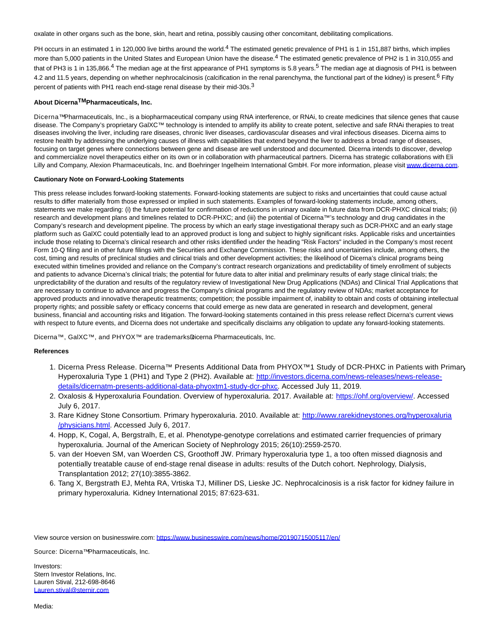oxalate in other organs such as the bone, skin, heart and retina, possibly causing other concomitant, debilitating complications.

PH occurs in an estimated 1 in 120,000 live births around the world.<sup>4</sup> The estimated genetic prevalence of PH1 is 1 in 151,887 births, which implies more than 5,000 patients in the United States and European Union have the disease.<sup>4</sup> The estimated genetic prevalence of PH2 is 1 in 310,055 and that of PH3 is 1 in 135,866.<sup>4</sup> The median age at the first appearance of PH1 symptoms is 5.8 years.<sup>5</sup> The median age at diagnosis of PH1 is between 4.2 and 11.5 years, depending on whether nephrocalcinosis (calcification in the renal parenchyma, the functional part of the kidney) is present.<sup>6</sup> Fifty percent of patients with PH1 reach end-stage renal disease by their mid-30s.3

#### **About DicernaTMPharmaceuticals, Inc.**

Dicerna™ Pharmaceuticals, Inc., is a biopharmaceutical company using RNA interference, or RNAi, to create medicines that silence genes that cause disease. The Company's proprietary GalXC™ technology is intended to amplify its ability to create potent, selective and safe RNAi therapies to treat diseases involving the liver, including rare diseases, chronic liver diseases, cardiovascular diseases and viral infectious diseases. Dicerna aims to restore health by addressing the underlying causes of illness with capabilities that extend beyond the liver to address a broad range of diseases, focusing on target genes where connections between gene and disease are well understood and documented. Dicerna intends to discover, develop and commercialize novel therapeutics either on its own or in collaboration with pharmaceutical partners. Dicerna has strategic collaborations with Eli Lilly and Company, Alexion Pharmaceuticals, Inc. and Boehringer Ingelheim International GmbH. For more information, please visi[t www.dicerna.com.](https://cts.businesswire.com/ct/CT?id=smartlink&url=http%3A%2F%2Fwww.dicerna.com&esheet=52012649&newsitemid=20190715005117&lan=en-US&anchor=www.dicerna.com&index=3&md5=f703c903a6cef009335f11beb380a3b4)

#### **Cautionary Note on Forward-Looking Statements**

This press release includes forward-looking statements. Forward-looking statements are subject to risks and uncertainties that could cause actual results to differ materially from those expressed or implied in such statements. Examples of forward-looking statements include, among others, statements we make regarding: (i) the future potential for confirmation of reductions in urinary oxalate in future data from DCR-PHXC clinical trials; (ii) research and development plans and timelines related to DCR-PHXC; and (iii) the potential of Dicerna™'s technology and drug candidates in the Company's research and development pipeline. The process by which an early stage investigational therapy such as DCR-PHXC and an early stage platform such as GalXC could potentially lead to an approved product is long and subject to highly significant risks. Applicable risks and uncertainties include those relating to Dicerna's clinical research and other risks identified under the heading "Risk Factors" included in the Company's most recent Form 10-Q filing and in other future filings with the Securities and Exchange Commission. These risks and uncertainties include, among others, the cost, timing and results of preclinical studies and clinical trials and other development activities; the likelihood of Dicerna's clinical programs being executed within timelines provided and reliance on the Company's contract research organizations and predictability of timely enrollment of subjects and patients to advance Dicerna's clinical trials; the potential for future data to alter initial and preliminary results of early stage clinical trials; the unpredictability of the duration and results of the regulatory review of Investigational New Drug Applications (NDAs) and Clinical Trial Applications that are necessary to continue to advance and progress the Company's clinical programs and the regulatory review of NDAs; market acceptance for approved products and innovative therapeutic treatments; competition; the possible impairment of, inability to obtain and costs of obtaining intellectual property rights; and possible safety or efficacy concerns that could emerge as new data are generated in research and development, general business, financial and accounting risks and litigation. The forward-looking statements contained in this press release reflect Dicerna's current views with respect to future events, and Dicerna does not undertake and specifically disclaims any obligation to update any forward-looking statements.

Dicerna™, GalXC™, and PHYOX™ are trademarks Dicerna Pharmaceuticals, Inc.

#### **References**

- 1. Dicerna Press Release. Dicerna™ Presents Additional Data from PHYOX™1 Study of DCR-PHXC in Patients with Primary Hyperoxaluria Type 1 (PH1) and Type 2 (PH2). Available at: [http://investors.dicerna.com/news-releases/news-release](https://cts.businesswire.com/ct/CT?id=smartlink&url=http%3A%2F%2Finvestors.dicerna.com%2Fnews-releases%2Fnews-release-details%2Fdicernatm-presents-additional-data-phyoxtm1-study-dcr-phxc&esheet=52012649&newsitemid=20190715005117&lan=en-US&anchor=http%3A%2F%2Finvestors.dicerna.com%2Fnews-releases%2Fnews-release-details%2Fdicernatm-presents-additional-data-phyoxtm1-study-dcr-phxc&index=4&md5=5b8bb95f2f93fd659c47939a388cf604)details/dicernatm-presents-additional-data-phyoxtm1-study-dcr-phxc. Accessed July 11, 2019.
- 2. Oxalosis & Hyperoxaluria Foundation. Overview of hyperoxaluria. 2017. Available at: [https://ohf.org/overview/.](https://cts.businesswire.com/ct/CT?id=smartlink&url=https%3A%2F%2Fohf.org%2Foverview%2F&esheet=52012649&newsitemid=20190715005117&lan=en-US&anchor=https%3A%2F%2Fohf.org%2Foverview%2F&index=5&md5=cc7e5bf53093af750ecc48ae29a9f6d0) Accessed July 6, 2017.
- 3. Rare Kidney Stone Consortium. Primary hyperoxaluria. 2010. Available at: [http://www.rarekidneystones.org/hyperoxaluria](https://cts.businesswire.com/ct/CT?id=smartlink&url=http%3A%2F%2Fwww.rarekidneystones.org%2Fhyperoxaluria%2Fphysicians.html&esheet=52012649&newsitemid=20190715005117&lan=en-US&anchor=http%3A%2F%2Fwww.rarekidneystones.org%2Fhyperoxaluria%2Fphysicians.html&index=6&md5=7124bf60d10853506e5d294ea0d2d8cf) /physicians.html. Accessed July 6, 2017.
- 4. Hopp, K, Cogal, A, Bergstralh, E, et al. Phenotype-genotype correlations and estimated carrier frequencies of primary hyperoxaluria. Journal of the American Society of Nephrology 2015; 26(10):2559-2570.
- 5. van der Hoeven SM, van Woerden CS, Groothoff JW. Primary hyperoxaluria type 1, a too often missed diagnosis and potentially treatable cause of end-stage renal disease in adults: results of the Dutch cohort. Nephrology, Dialysis, Transplantation 2012; 27(10):3855-3862.
- 6. Tang X, Bergstrath EJ, Mehta RA, Vrtiska TJ, Milliner DS, Lieske JC. Nephrocalcinosis is a risk factor for kidney failure in primary hyperoxaluria. Kidney International 2015; 87:623-631.

View source version on businesswire.com:<https://www.businesswire.com/news/home/20190715005117/en/>

Source: Dicerna<sup>™</sup> Pharmaceuticals, Inc.

Investors: Stern Investor Relations, Inc. Lauren Stival, 212-698-8646 [Lauren.stival@sternir.com](mailto:Lauren.stival@sternir.com)

Media: